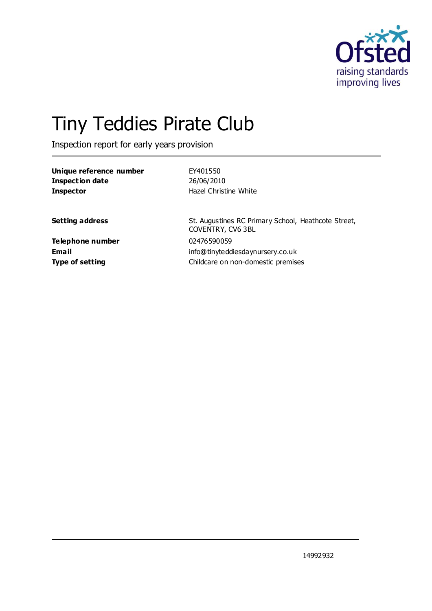

# Tiny Teddies Pirate Club

Inspection report for early years provision

| Unique reference number<br><b>Inspection date</b><br><b>Inspector</b> | EY401550<br>26/06/2010<br>Hazel Christine White                          |
|-----------------------------------------------------------------------|--------------------------------------------------------------------------|
| <b>Setting address</b>                                                | St. Augustines RC Primary School, Heathcote Street,<br>COVENTRY, CV6 3BL |
| <b>Telephone number</b>                                               | 02476590059                                                              |
| Email                                                                 | info@tinyteddiesdaynursery.co.uk                                         |
| <b>Type of setting</b>                                                | Childcare on non-domestic premises                                       |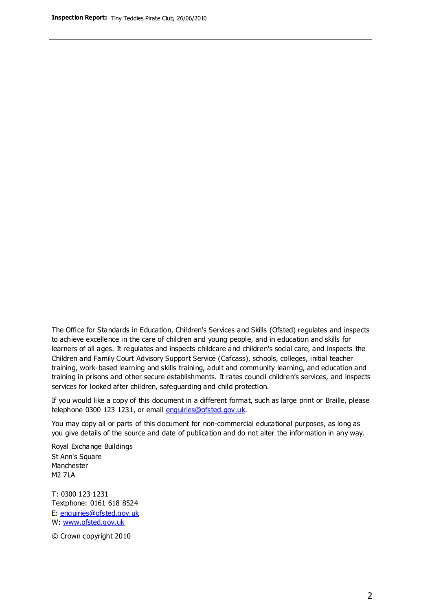The Office for Standards in Education, Children's Services and Skills (Ofsted) regulates and inspects to achieve excellence in the care of children and young people, and in education and skills for learners of all ages. It regulates and inspects childcare and children's social care, and inspects the Children and Family Court Advisory Support Service (Cafcass), schools, colleges, initial teacher training, work-based learning and skills training, adult and community learning, and education and training in prisons and other secure establishments. It rates council children's services, and inspects services for looked after children, safeguarding and child protection.

If you would like a copy of this document in a different format, such as large print or Braille, please telephone 0300 123 1231, or email enquiries@ofsted.gov.uk.

You may copy all or parts of this document for non-commercial educational purposes, as long as you give details of the source and date of publication and do not alter the information in any way.

Royal Exchange Buildings St Ann's Square Manchester M2 7LA

T: 0300 123 1231 Textphone: 0161 618 8524 E: enquiries@ofsted.gov.uk W: [www.ofsted.gov.uk](http://www.ofsted.gov.uk/)

© Crown copyright 2010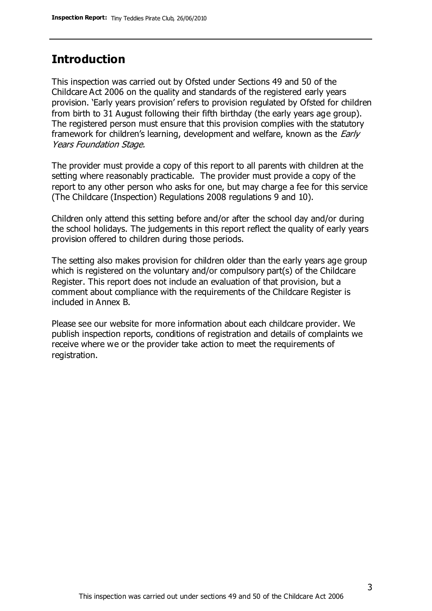## **Introduction**

This inspection was carried out by Ofsted under Sections 49 and 50 of the Childcare Act 2006 on the quality and standards of the registered early years provision. 'Early years provision' refers to provision regulated by Ofsted for children from birth to 31 August following their fifth birthday (the early years age group). The registered person must ensure that this provision complies with the statutory framework for children's learning, development and welfare, known as the *Early* Years Foundation Stage.

The provider must provide a copy of this report to all parents with children at the setting where reasonably practicable. The provider must provide a copy of the report to any other person who asks for one, but may charge a fee for this service (The Childcare (Inspection) Regulations 2008 regulations 9 and 10).

Children only attend this setting before and/or after the school day and/or during the school holidays. The judgements in this report reflect the quality of early years provision offered to children during those periods.

The setting also makes provision for children older than the early years age group which is registered on the voluntary and/or compulsory part(s) of the Childcare Register. This report does not include an evaluation of that provision, but a comment about compliance with the requirements of the Childcare Register is included in Annex B.

Please see our website for more information about each childcare provider. We publish inspection reports, conditions of registration and details of complaints we receive where we or the provider take action to meet the requirements of registration.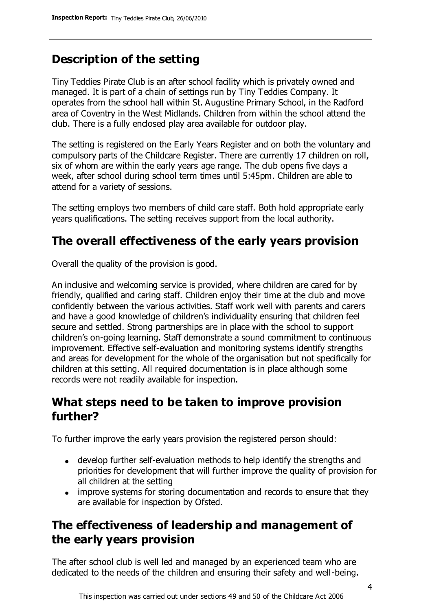# **Description of the setting**

Tiny Teddies Pirate Club is an after school facility which is privately owned and managed. It is part of a chain of settings run by Tiny Teddies Company. It operates from the school hall within St. Augustine Primary School, in the Radford area of Coventry in the West Midlands. Children from within the school attend the club. There is a fully enclosed play area available for outdoor play.

The setting is registered on the Early Years Register and on both the voluntary and compulsory parts of the Childcare Register. There are currently 17 children on roll, six of whom are within the early years age range. The club opens five days a week, after school during school term times until 5:45pm. Children are able to attend for a variety of sessions.

The setting employs two members of child care staff. Both hold appropriate early years qualifications. The setting receives support from the local authority.

# **The overall effectiveness of the early years provision**

Overall the quality of the provision is good.

An inclusive and welcoming service is provided, where children are cared for by friendly, qualified and caring staff. Children enjoy their time at the club and move confidently between the various activities. Staff work well with parents and carers and have a good knowledge of children's individuality ensuring that children feel secure and settled. Strong partnerships are in place with the school to support children's on-going learning. Staff demonstrate a sound commitment to continuous improvement. Effective self-evaluation and monitoring systems identify strengths and areas for development for the whole of the organisation but not specifically for children at this setting. All required documentation is in place although some records were not readily available for inspection.

# **What steps need to be taken to improve provision further?**

To further improve the early years provision the registered person should:

- develop further self-evaluation methods to help identify the strengths and priorities for development that will further improve the quality of provision for all children at the setting
- improve systems for storing documentation and records to ensure that they are available for inspection by Ofsted.

# **The effectiveness of leadership and management of the early years provision**

The after school club is well led and managed by an experienced team who are dedicated to the needs of the children and ensuring their safety and well-being.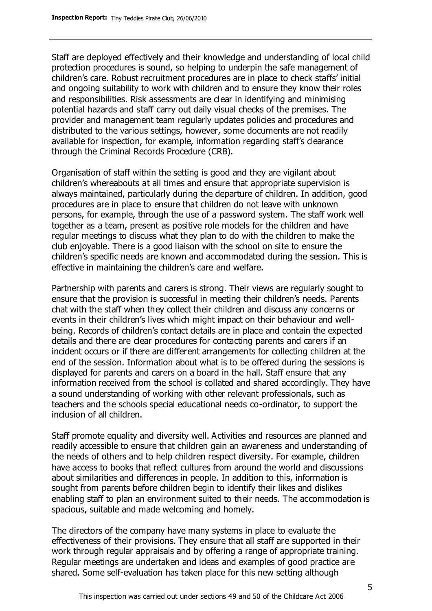Staff are deployed effectively and their knowledge and understanding of local child protection procedures is sound, so helping to underpin the safe management of children's care. Robust recruitment procedures are in place to check staffs' initial and ongoing suitability to work with children and to ensure they know their roles and responsibilities. Risk assessments are clear in identifying and minimising potential hazards and staff carry out daily visual checks of the premises. The provider and management team regularly updates policies and procedures and distributed to the various settings, however, some documents are not readily available for inspection, for example, information regarding staff's clearance through the Criminal Records Procedure (CRB).

Organisation of staff within the setting is good and they are vigilant about children's whereabouts at all times and ensure that appropriate supervision is always maintained, particularly during the departure of children. In addition, good procedures are in place to ensure that children do not leave with unknown persons, for example, through the use of a password system. The staff work well together as a team, present as positive role models for the children and have regular meetings to discuss what they plan to do with the children to make the club enjoyable. There is a good liaison with the school on site to ensure the children's specific needs are known and accommodated during the session. This is effective in maintaining the children's care and welfare.

Partnership with parents and carers is strong. Their views are regularly sought to ensure that the provision is successful in meeting their children's needs. Parents chat with the staff when they collect their children and discuss any concerns or events in their children's lives which might impact on their behaviour and wellbeing. Records of children's contact details are in place and contain the expected details and there are clear procedures for contacting parents and carers if an incident occurs or if there are different arrangements for collecting children at the end of the session. Information about what is to be offered during the sessions is displayed for parents and carers on a board in the hall. Staff ensure that any information received from the school is collated and shared accordingly. They have a sound understanding of working with other relevant professionals, such as teachers and the schools special educational needs co-ordinator, to support the inclusion of all children.

Staff promote equality and diversity well. Activities and resources are planned and readily accessible to ensure that children gain an awareness and understanding of the needs of others and to help children respect diversity. For example, children have access to books that reflect cultures from around the world and discussions about similarities and differences in people. In addition to this, information is sought from parents before children begin to identify their likes and dislikes enabling staff to plan an environment suited to their needs. The accommodation is spacious, suitable and made welcoming and homely.

The directors of the company have many systems in place to evaluate the effectiveness of their provisions. They ensure that all staff are supported in their work through regular appraisals and by offering a range of appropriate training. Regular meetings are undertaken and ideas and examples of good practice are shared. Some self-evaluation has taken place for this new setting although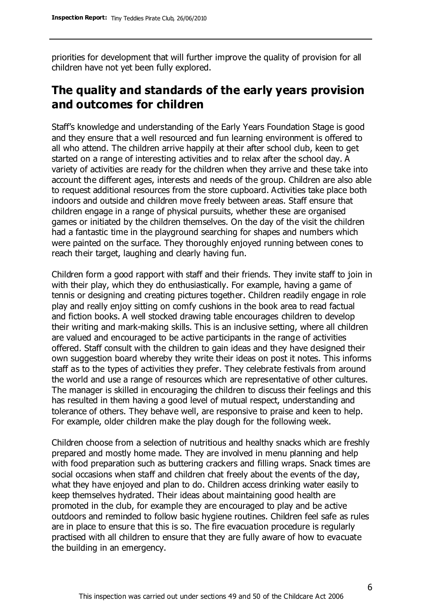priorities for development that will further improve the quality of provision for all children have not yet been fully explored.

# **The quality and standards of the early years provision and outcomes for children**

Staff's knowledge and understanding of the Early Years Foundation Stage is good and they ensure that a well resourced and fun learning environment is offered to all who attend. The children arrive happily at their after school club, keen to get started on a range of interesting activities and to relax after the school day. A variety of activities are ready for the children when they arrive and these take into account the different ages, interests and needs of the group. Children are also able to request additional resources from the store cupboard. Activities take place both indoors and outside and children move freely between areas. Staff ensure that children engage in a range of physical pursuits, whether these are organised games or initiated by the children themselves. On the day of the visit the children had a fantastic time in the playground searching for shapes and numbers which were painted on the surface. They thoroughly enjoyed running between cones to reach their target, laughing and clearly having fun.

Children form a good rapport with staff and their friends. They invite staff to join in with their play, which they do enthusiastically. For example, having a game of tennis or designing and creating pictures together. Children readily engage in role play and really enjoy sitting on comfy cushions in the book area to read factual and fiction books. A well stocked drawing table encourages children to develop their writing and mark-making skills. This is an inclusive setting, where all children are valued and encouraged to be active participants in the range of activities offered. Staff consult with the children to gain ideas and they have designed their own suggestion board whereby they write their ideas on post it notes. This informs staff as to the types of activities they prefer. They celebrate festivals from around the world and use a range of resources which are representative of other cultures. The manager is skilled in encouraging the children to discuss their feelings and this has resulted in them having a good level of mutual respect, understanding and tolerance of others. They behave well, are responsive to praise and keen to help. For example, older children make the play dough for the following week.

Children choose from a selection of nutritious and healthy snacks which are freshly prepared and mostly home made. They are involved in menu planning and help with food preparation such as buttering crackers and filling wraps. Snack times are social occasions when staff and children chat freely about the events of the day, what they have enjoyed and plan to do. Children access drinking water easily to keep themselves hydrated. Their ideas about maintaining good health are promoted in the club, for example they are encouraged to play and be active outdoors and reminded to follow basic hygiene routines. Children feel safe as rules are in place to ensure that this is so. The fire evacuation procedure is regularly practised with all children to ensure that they are fully aware of how to evacuate the building in an emergency.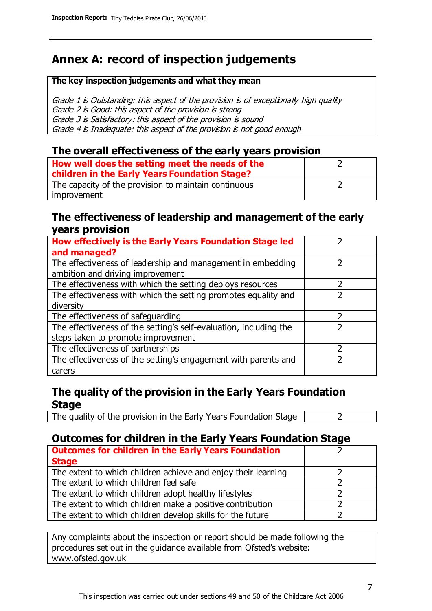# **Annex A: record of inspection judgements**

#### **The key inspection judgements and what they mean**

Grade 1 is Outstanding: this aspect of the provision is of exceptionally high quality Grade 2 is Good: this aspect of the provision is strong Grade 3 is Satisfactory: this aspect of the provision is sound Grade 4 is Inadequate: this aspect of the provision is not good enough

### **The overall effectiveness of the early years provision**

| How well does the setting meet the needs of the<br>children in the Early Years Foundation Stage? |  |
|--------------------------------------------------------------------------------------------------|--|
| The capacity of the provision to maintain continuous                                             |  |
| improvement                                                                                      |  |

### **The effectiveness of leadership and management of the early years provision**

| How effectively is the Early Years Foundation Stage led           |   |
|-------------------------------------------------------------------|---|
| and managed?                                                      |   |
| The effectiveness of leadership and management in embedding       |   |
| ambition and driving improvement                                  |   |
| The effectiveness with which the setting deploys resources        |   |
| The effectiveness with which the setting promotes equality and    |   |
| diversity                                                         |   |
| The effectiveness of safeguarding                                 | 2 |
| The effectiveness of the setting's self-evaluation, including the |   |
| steps taken to promote improvement                                |   |
| The effectiveness of partnerships                                 |   |
| The effectiveness of the setting's engagement with parents and    |   |
| carers                                                            |   |

## **The quality of the provision in the Early Years Foundation Stage**

The quality of the provision in the Early Years Foundation Stage  $\vert$  2

## **Outcomes for children in the Early Years Foundation Stage**

| <b>Outcomes for children in the Early Years Foundation</b>    |  |
|---------------------------------------------------------------|--|
| <b>Stage</b>                                                  |  |
| The extent to which children achieve and enjoy their learning |  |
| The extent to which children feel safe                        |  |
| The extent to which children adopt healthy lifestyles         |  |
| The extent to which children make a positive contribution     |  |
| The extent to which children develop skills for the future    |  |

Any complaints about the inspection or report should be made following the procedures set out in the guidance available from Ofsted's website: www.ofsted.gov.uk